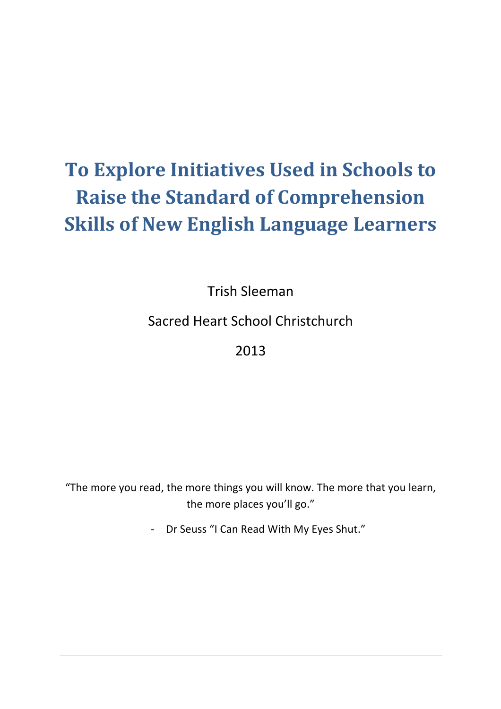# **To Explore Initiatives Used in Schools to Raise the Standard of Comprehension Skills of New English Language Learners**

Trish!Sleeman

Sacred Heart School Christchurch

# 2013

"The more you read, the more things you will know. The more that you learn, the more places you'll go."

- Dr Seuss "I Can Read With My Eyes Shut."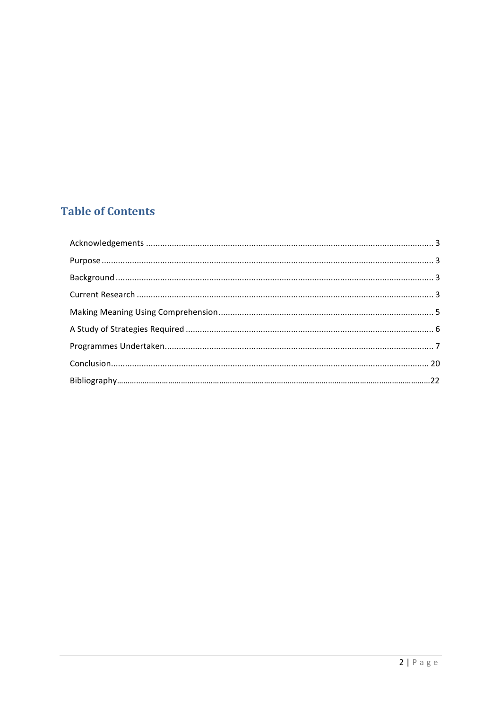# **Table of Contents**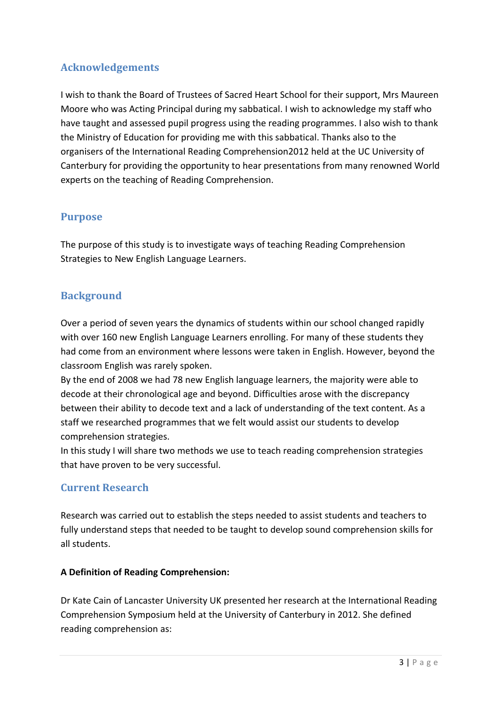## **Acknowledgements**

I wish to thank the Board of Trustees of Sacred Heart School for their support, Mrs Maureen Moore who was Acting Principal during my sabbatical. I wish to acknowledge my staff who have taught and assessed pupil progress using the reading programmes. I also wish to thank the Ministry of Education for providing me with this sabbatical. Thanks also to the organisers of the International Reading Comprehension2012 held at the UC University of Canterbury for providing the opportunity to hear presentations from many renowned World experts on the teaching of Reading Comprehension.

#### **Purpose**

The purpose of this study is to investigate ways of teaching Reading Comprehension Strategies to New English Language Learners.

#### **Background**

Over a period of seven years the dynamics of students within our school changed rapidly with over 160 new English Language Learners enrolling. For many of these students they had come from an environment where lessons were taken in English. However, beyond the classroom English was rarely spoken.

By the end of 2008 we had 78 new English language learners, the majority were able to decode at their chronological age and beyond. Difficulties arose with the discrepancy between their ability to decode text and a lack of understanding of the text content. As a staff we researched programmes that we felt would assist our students to develop comprehension strategies.

In this study I will share two methods we use to teach reading comprehension strategies that have proven to be very successful.

#### **Current!Research**

Research was carried out to establish the steps needed to assist students and teachers to fully understand steps that needed to be taught to develop sound comprehension skills for all students.

#### **A Definition of Reading Comprehension:**

Dr Kate Cain of Lancaster University UK presented her research at the International Reading Comprehension Symposium held at the University of Canterbury in 2012. She defined reading comprehension as: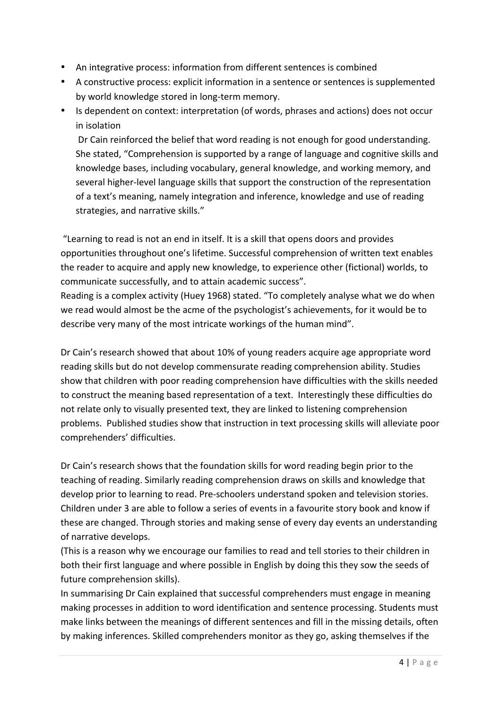- An integrative process: information from different sentences is combined
- A constructive process: explicit information in a sentence or sentences is supplemented by world knowledge stored in long-term memory.
- Is dependent on context: interpretation (of words, phrases and actions) does not occur in isolation

Dr Cain reinforced the belief that word reading is not enough for good understanding. She stated, "Comprehension is supported by a range of language and cognitive skills and knowledge bases, including vocabulary, general knowledge, and working memory, and several higher-level language skills that support the construction of the representation of a text's meaning, namely integration and inference, knowledge and use of reading strategies, and narrative skills."

"Learning to read is not an end in itself. It is a skill that opens doors and provides opportunities throughout one's lifetime. Successful comprehension of written text enables the reader to acquire and apply new knowledge, to experience other (fictional) worlds, to communicate successfully, and to attain academic success".

Reading is a complex activity (Huey 1968) stated. "To completely analyse what we do when we read would almost be the acme of the psychologist's achievements, for it would be to describe very many of the most intricate workings of the human mind".

Dr Cain's research showed that about 10% of young readers acquire age appropriate word reading skills but do not develop commensurate reading comprehension ability. Studies show that children with poor reading comprehension have difficulties with the skills needed to construct the meaning based representation of a text. Interestingly these difficulties do not relate only to visually presented text, they are linked to listening comprehension problems. Published studies show that instruction in text processing skills will alleviate poor comprehenders' difficulties.

Dr Cain's research shows that the foundation skills for word reading begin prior to the teaching of reading. Similarly reading comprehension draws on skills and knowledge that develop prior to learning to read. Pre-schoolers understand spoken and television stories. Children under 3 are able to follow a series of events in a favourite story book and know if these are changed. Through stories and making sense of every day events an understanding of narrative develops.

(This is a reason why we encourage our families to read and tell stories to their children in both their first language and where possible in English by doing this they sow the seeds of future comprehension skills).

In summarising Dr Cain explained that successful comprehenders must engage in meaning making processes in addition to word identification and sentence processing. Students must make links between the meanings of different sentences and fill in the missing details, often by making inferences. Skilled comprehenders monitor as they go, asking themselves if the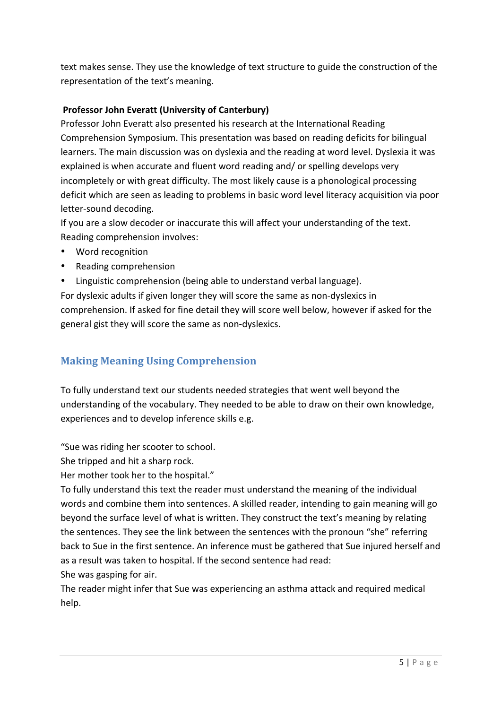text makes sense. They use the knowledge of text structure to guide the construction of the representation of the text's meaning.

#### **Professor John Everatt (University of Canterbury)**

Professor John Everatt also presented his research at the International Reading Comprehension Symposium. This presentation was based on reading deficits for bilingual learners. The main discussion was on dyslexia and the reading at word level. Dyslexia it was explained is when accurate and fluent word reading and/ or spelling develops very incompletely or with great difficulty. The most likely cause is a phonological processing deficit which are seen as leading to problems in basic word level literacy acquisition via poor letter-sound decoding.

If you are a slow decoder or inaccurate this will affect your understanding of the text. Reading comprehension involves:

- Word recognition
- Reading comprehension
- Linguistic comprehension (being able to understand verbal language).

For dyslexic adults if given longer they will score the same as non-dyslexics in comprehension. If asked for fine detail they will score well below, however if asked for the general gist they will score the same as non-dyslexics.

### **Making Meaning Using Comprehension**

To fully understand text our students needed strategies that went well beyond the understanding of the vocabulary. They needed to be able to draw on their own knowledge, experiences and to develop inference skills e.g.

"Sue was riding her scooter to school.

She tripped and hit a sharp rock.

Her mother took her to the hospital."

To fully understand this text the reader must understand the meaning of the individual words and combine them into sentences. A skilled reader, intending to gain meaning will go beyond the surface level of what is written. They construct the text's meaning by relating the sentences. They see the link between the sentences with the pronoun "she" referring back to Sue in the first sentence. An inference must be gathered that Sue injured herself and as a result was taken to hospital. If the second sentence had read:

She was gasping for air.

The reader might infer that Sue was experiencing an asthma attack and required medical help.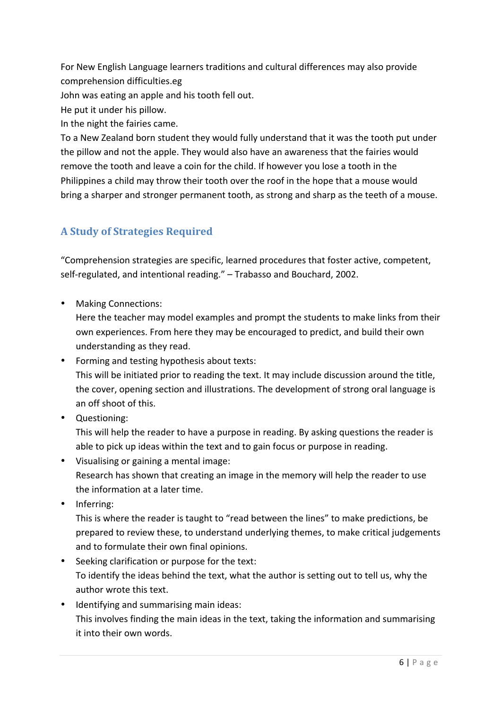For New English Language learners traditions and cultural differences may also provide comprehension difficulties.eg

John was eating an apple and his tooth fell out.

He put it under his pillow.

In the night the fairies came.

To a New Zealand born student they would fully understand that it was the tooth put under the pillow and not the apple. They would also have an awareness that the fairies would remove the tooth and leave a coin for the child. If however you lose a tooth in the Philippines a child may throw their tooth over the roof in the hope that a mouse would bring a sharper and stronger permanent tooth, as strong and sharp as the teeth of a mouse.

## **A!Study!of!Strategies!Required**

"Comprehension strategies are specific, learned procedures that foster active, competent, self-regulated, and intentional reading." – Trabasso and Bouchard, 2002.

• Making Connections:

Here the teacher may model examples and prompt the students to make links from their own experiences. From here they may be encouraged to predict, and build their own understanding as they read.

- Forming and testing hypothesis about texts: This will be initiated prior to reading the text. It may include discussion around the title, the cover, opening section and illustrations. The development of strong oral language is an off shoot of this.
- Questioning:

This will help the reader to have a purpose in reading. By asking questions the reader is able to pick up ideas within the text and to gain focus or purpose in reading.

- Visualising or gaining a mental image: Research has shown that creating an image in the memory will help the reader to use the information at a later time.
- Inferring:

This is where the reader is taught to "read between the lines" to make predictions, be prepared to review these, to understand underlying themes, to make critical judgements and to formulate their own final opinions.

- Seeking clarification or purpose for the text: To identify the ideas behind the text, what the author is setting out to tell us, why the author wrote this text.
- Identifying and summarising main ideas: This involves finding the main ideas in the text, taking the information and summarising it into their own words.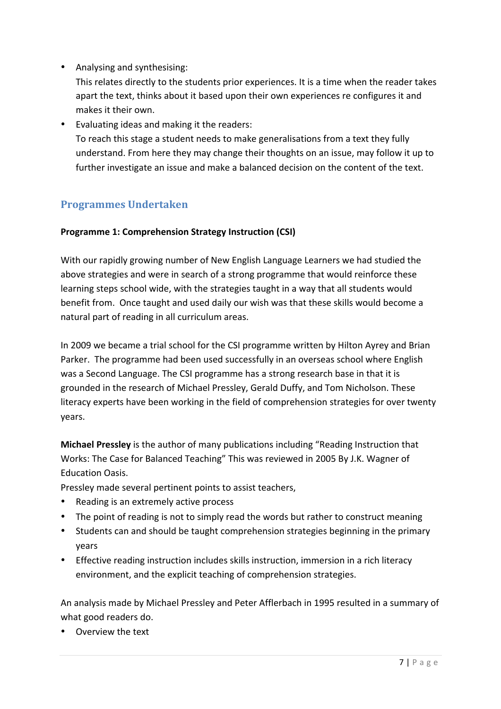• Analysing and synthesising:

This relates directly to the students prior experiences. It is a time when the reader takes apart the text, thinks about it based upon their own experiences re configures it and makes it their own.

• Evaluating ideas and making it the readers: To reach this stage a student needs to make generalisations from a text they fully understand. From here they may change their thoughts on an issue, may follow it up to further investigate an issue and make a balanced decision on the content of the text.

# **Programmes!Undertaken**

#### **Programme 1: Comprehension Strategy Instruction (CSI)**

With our rapidly growing number of New English Language Learners we had studied the above strategies and were in search of a strong programme that would reinforce these learning steps school wide, with the strategies taught in a way that all students would benefit from. Once taught and used daily our wish was that these skills would become a natural part of reading in all curriculum areas.

In 2009 we became a trial school for the CSI programme written by Hilton Ayrey and Brian Parker. The programme had been used successfully in an overseas school where English was a Second Language. The CSI programme has a strong research base in that it is grounded in the research of Michael Pressley, Gerald Duffy, and Tom Nicholson. These literacy experts have been working in the field of comprehension strategies for over twenty years.

**Michael Pressley** is the author of many publications including "Reading Instruction that Works: The Case for Balanced Teaching" This was reviewed in 2005 By J.K. Wagner of Education!Oasis.

Pressley made several pertinent points to assist teachers,

- Reading is an extremely active process
- The point of reading is not to simply read the words but rather to construct meaning
- Students can and should be taught comprehension strategies beginning in the primary years
- Effective reading instruction includes skills instruction, immersion in a rich literacy environment, and the explicit teaching of comprehension strategies.

An analysis made by Michael Pressley and Peter Afflerbach in 1995 resulted in a summary of what good readers do.

• Overview the text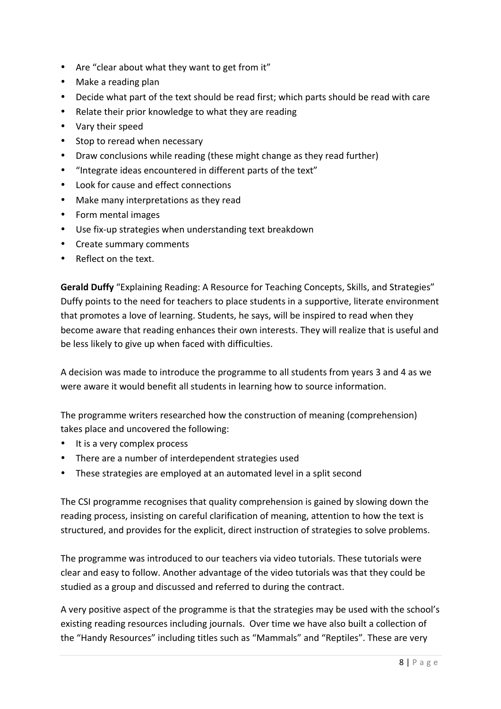- Are "clear about what they want to get from it"
- Make a reading plan
- Decide what part of the text should be read first; which parts should be read with care
- Relate their prior knowledge to what they are reading
- Vary their speed
- Stop to reread when necessary
- Draw conclusions while reading (these might change as they read further)
- "Integrate ideas encountered in different parts of the text"
- Look for cause and effect connections
- Make many interpretations as they read
- Form mental images
- Use fix-up strategies when understanding text breakdown
- Create summary comments
- Reflect on the text.

**Gerald Duffy** "Explaining Reading: A Resource for Teaching Concepts, Skills, and Strategies" Duffy points to the need for teachers to place students in a supportive, literate environment that promotes a love of learning. Students, he says, will be inspired to read when they become aware that reading enhances their own interests. They will realize that is useful and be less likely to give up when faced with difficulties.

A decision was made to introduce the programme to all students from years 3 and 4 as we were aware it would benefit all students in learning how to source information.

The programme writers researched how the construction of meaning (comprehension) takes place and uncovered the following:

- It is a very complex process
- There are a number of interdependent strategies used
- These strategies are employed at an automated level in a split second

The CSI programme recognises that quality comprehension is gained by slowing down the reading process, insisting on careful clarification of meaning, attention to how the text is structured, and provides for the explicit, direct instruction of strategies to solve problems.

The programme was introduced to our teachers via video tutorials. These tutorials were clear and easy to follow. Another advantage of the video tutorials was that they could be studied as a group and discussed and referred to during the contract.

A very positive aspect of the programme is that the strategies may be used with the school's existing reading resources including journals. Over time we have also built a collection of the "Handy Resources" including titles such as "Mammals" and "Reptiles". These are very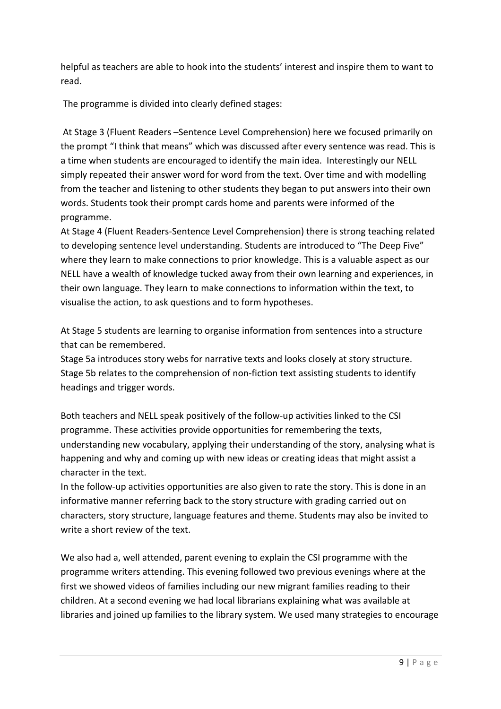helpful as teachers are able to hook into the students' interest and inspire them to want to read.!

The programme is divided into clearly defined stages:

At Stage 3 (Fluent Readers –Sentence Level Comprehension) here we focused primarily on the prompt "I think that means" which was discussed after every sentence was read. This is a time when students are encouraged to identify the main idea. Interestingly our NELL simply repeated their answer word for word from the text. Over time and with modelling from the teacher and listening to other students they began to put answers into their own words. Students took their prompt cards home and parents were informed of the programme.

At Stage 4 (Fluent Readers-Sentence Level Comprehension) there is strong teaching related to developing sentence level understanding. Students are introduced to "The Deep Five" where they learn to make connections to prior knowledge. This is a valuable aspect as our NELL have a wealth of knowledge tucked away from their own learning and experiences, in their own language. They learn to make connections to information within the text, to visualise the action, to ask questions and to form hypotheses.

At Stage 5 students are learning to organise information from sentences into a structure that can be remembered.

Stage 5a introduces story webs for narrative texts and looks closely at story structure. Stage 5b relates to the comprehension of non-fiction text assisting students to identify headings and trigger words.

Both teachers and NELL speak positively of the follow-up activities linked to the CSI programme. These activities provide opportunities for remembering the texts, understanding new vocabulary, applying their understanding of the story, analysing what is happening and why and coming up with new ideas or creating ideas that might assist a character in the text.

In the follow-up activities opportunities are also given to rate the story. This is done in an informative manner referring back to the story structure with grading carried out on characters, story structure, language features and theme. Students may also be invited to write a short review of the text.

We also had a, well attended, parent evening to explain the CSI programme with the programme writers attending. This evening followed two previous evenings where at the first we showed videos of families including our new migrant families reading to their children. At a second evening we had local librarians explaining what was available at libraries and joined up families to the library system. We used many strategies to encourage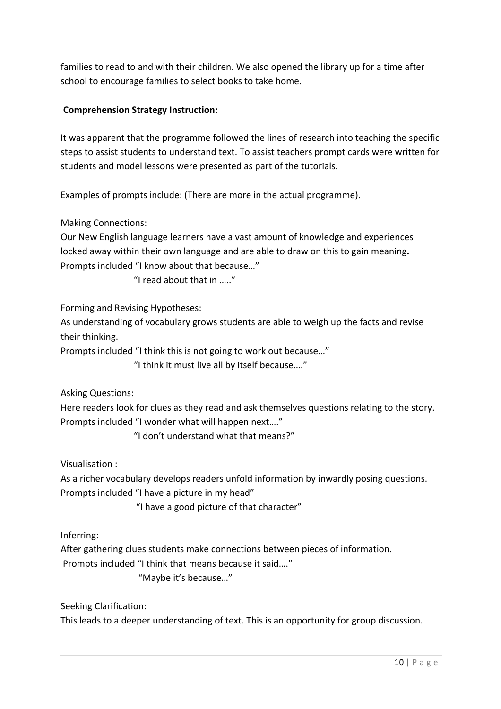families to read to and with their children. We also opened the library up for a time after school to encourage families to select books to take home.

#### **Comprehension Strategy Instruction:**

It was apparent that the programme followed the lines of research into teaching the specific steps to assist students to understand text. To assist teachers prompt cards were written for students and model lessons were presented as part of the tutorials.

Examples of prompts include: (There are more in the actual programme).

Making Connections:

Our New English language learners have a vast amount of knowledge and experiences locked away within their own language and are able to draw on this to gain meaning. Prompts included "I know about that because..."

" I read about that in  $"$ 

Forming and Revising Hypotheses:

As understanding of vocabulary grows students are able to weigh up the facts and revise their thinking.

Prompts included "I think this is not going to work out because..."

"I think it must live all by itself because...."

Asking Questions:

Here readers look for clues as they read and ask themselves questions relating to the story. Prompts included "I wonder what will happen next...."

"! don't understand what that means?"

Visualisation:

As a richer vocabulary develops readers unfold information by inwardly posing questions. Prompts included "I have a picture in my head"

"I have a good picture of that character"

Inferring:

After gathering clues students make connections between pieces of information.

Prompts included "I think that means because it said...."

"Maybe it's because..."

Seeking Clarification: This leads to a deeper understanding of text. This is an opportunity for group discussion.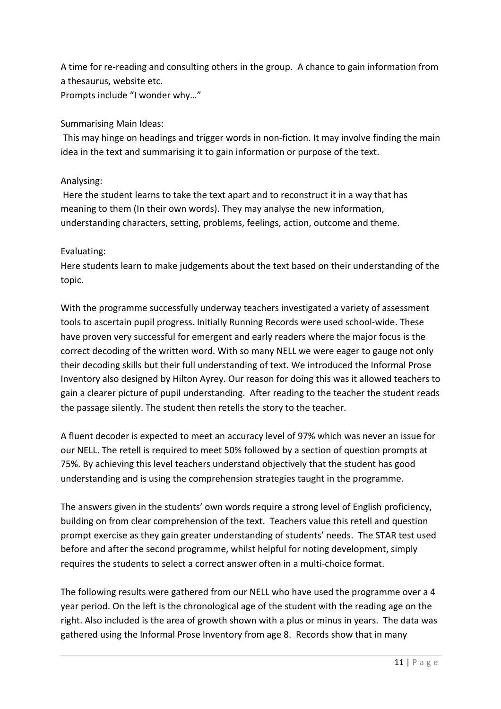A time for re-reading and consulting others in the group. A chance to gain information from a thesaurus, website etc. Prompts include "I wonder why..."

#### Summarising Main Ideas:

This may hinge on headings and trigger words in non-fiction. It may involve finding the main idea in the text and summarising it to gain information or purpose of the text.

#### Analysing:

Here the student learns to take the text apart and to reconstruct it in a way that has meaning to them (In their own words). They may analyse the new information, understanding characters, setting, problems, feelings, action, outcome and theme.

#### Evaluating:

Here students learn to make judgements about the text based on their understanding of the topic.

With the programme successfully underway teachers investigated a variety of assessment tools to ascertain pupil progress. Initially Running Records were used school-wide. These have proven very successful for emergent and early readers where the major focus is the correct decoding of the written word. With so many NELL we were eager to gauge not only their decoding skills but their full understanding of text. We introduced the Informal Prose Inventory also designed by Hilton Ayrey. Our reason for doing this was it allowed teachers to gain a clearer picture of pupil understanding. After reading to the teacher the student reads the passage silently. The student then retells the story to the teacher.

A fluent decoder is expected to meet an accuracy level of 97% which was never an issue for our NELL. The retell is required to meet 50% followed by a section of question prompts at 75%. By achieving this level teachers understand objectively that the student has good understanding and is using the comprehension strategies taught in the programme.

The answers given in the students' own words require a strong level of English proficiency, building on from clear comprehension of the text. Teachers value this retell and question prompt exercise as they gain greater understanding of students' needs. The STAR test used before and after the second programme, whilst helpful for noting development, simply requires the students to select a correct answer often in a multi-choice format.

The following results were gathered from our NELL who have used the programme over a 4 year period. On the left is the chronological age of the student with the reading age on the right. Also included is the area of growth shown with a plus or minus in years. The data was gathered using the Informal Prose Inventory from age 8. Records show that in many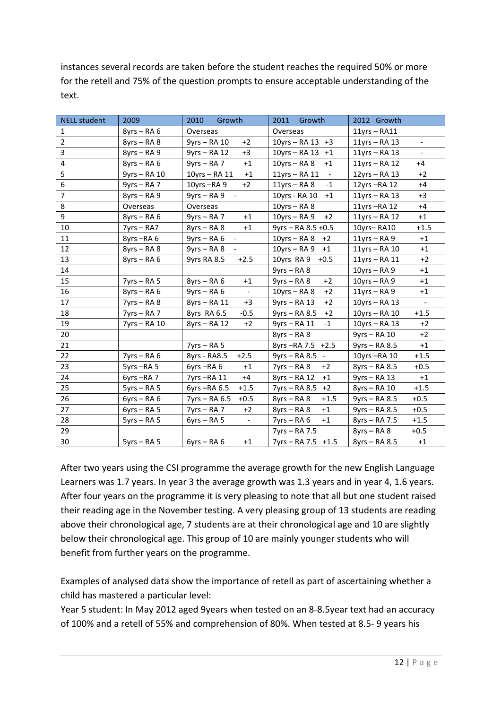instances several records are taken before the student reaches the required 50% or more for the retell and 75% of the question prompts to ensure acceptable understanding of the text.

| <b>NELL student</b> | 2009           | 2010<br>Growth                            | 2011<br>Growth                              | 2012 Growth                                  |
|---------------------|----------------|-------------------------------------------|---------------------------------------------|----------------------------------------------|
| $\mathbf{1}$        | $8yrs - RA6$   | Overseas                                  | Overseas                                    | $11$ yrs - RA11                              |
| $\overline{2}$      | $8yrs - RA8$   | $+2$<br>9yrs - RA 10                      | 10yrs - RA 13 +3                            | $11$ yrs – RA 13<br>$\overline{\phantom{a}}$ |
| 3                   | $8yrs - RA9$   | $+3$<br>9yrs - RA 12                      | 10yrs - RA 13 +1                            | $11$ yrs - RA 13                             |
| 4                   | $8yrs - RA6$   | $9yrs - RA$ 7<br>$+1$                     | $10$ yrs – RA 8<br>$+1$                     | $11$ yrs – RA 12<br>$+4$                     |
| 5                   | 9yrs - RA 10   | 10yrs - RA 11<br>$+1$                     | $11$ yrs – RA $11$<br>$\sim$                | $12$ yrs - RA 13<br>$+2$                     |
| 6                   | $9yrs - RA$ 7  | $+2$<br>10 $yrs$ –RA 9                    | $-1$<br>$11$ yrs – RA 8                     | $+4$<br>$12$ yrs $-RA$ 12                    |
| $\overline{7}$      | $8yrs - RA9$   | 9yrs – RA 9<br>$\sim$                     | 10yrs - RA 10<br>$+1$                       | $+3$<br>$11$ yrs – RA 13                     |
| 8                   | Overseas       | Overseas                                  | $10$ yrs - RA 8                             | 11yrs $-RA$ 12<br>$+4$                       |
| 9                   | $8yrs - RA6$   | $9yrs - RA$ 7<br>$+1$                     | $10$ yrs – RA 9<br>$+2$                     | $11$ yrs – RA 12<br>$+1$                     |
| 10                  | $7yrs - RA7$   | $8yrs - RA 8$<br>$+1$                     | 9yrs - RA 8.5 +0.5                          | $+1.5$<br>10yrs-RA10                         |
| 11                  | 8yrs-RA6       | $9yrs - RA 6$<br>$\overline{\phantom{a}}$ | $10$ yrs – RA 8<br>$+2$                     | $11$ yrs – RA 9<br>$+1$                      |
| 12                  | $8yrs - RA 8$  | 9yrs – RA 8                               | $10$ yrs – RA 9<br>$+1$                     | $+1$<br>$11$ yrs – RA $10$                   |
| 13                  | $8yrs - RA6$   | $+2.5$<br>9yrs RA 8.5                     | $+0.5$<br>10yrs RA 9                        | $+2$<br>$11$ yrs - RA $11$                   |
| 14                  |                |                                           | $9yrs - RA8$                                | $10$ yrs – RA 9<br>$+1$                      |
| 15                  | $7yrs - RA 5$  | $8yrs - RA6$<br>$+1$                      | $+2$<br>$9yrs - RA8$                        | $10$ yrs - RA 9<br>$+1$                      |
| 16                  | $8yrs - RA6$   | $9yrs - RA 6$<br>$\overline{\phantom{a}}$ | $+2$<br>$10$ yrs – RA 8                     | $11$ yrs – RA 9<br>$+1$                      |
| 17                  | $7yrs - RA8$   | 8yrs - RA 11<br>$+3$                      | $+2$<br>$9yrs - RA$ 13                      | $10$ yrs – RA 13<br>$\overline{\phantom{0}}$ |
| 18                  | $7yrs - RA$ 7  | 8yrs RA 6.5<br>$-0.5$                     | $+2$<br>$9yrs - RA 8.5$                     | $+1.5$<br>$10$ yrs – RA $10$                 |
| 19                  | $7yrs - RA$ 10 | $8yrs - RA$ 12<br>$+2$                    | 9yrs - RA 11<br>$-1$                        | $10$ yrs – RA 13<br>$+2$                     |
| 20                  |                |                                           | $8yrs - RA8$                                | $+2$<br>9yrs - RA 10                         |
| 21                  |                | $7yrs - RA 5$                             | 8yrs-RA 7.5 +2.5                            | $9yrs - RA 8.5$<br>$+1$                      |
| 22                  | $7yrs - RA6$   | 8yrs - RA8.5<br>$+2.5$                    | $9yrs - RA 8.5$<br>$\overline{\phantom{a}}$ | 10yrs-RA 10<br>$+1.5$                        |
| 23                  | 5yrs-RA5       | 6yrs-RA6<br>$+1$                          | $+2$<br>$7yrs - RA8$                        | $+0.5$<br>$8yrs - RA 8.5$                    |
| 24                  | 6yrs-RA7       | 7yrs-RA 11<br>$+4$                        | 8yrs – RA 12<br>$+1$                        | $9yrs - RA$ 13<br>$+1$                       |
| 25                  | $5yrs - RA 5$  | 6yrs-RA 6.5<br>$+1.5$                     | 7yrs - RA 8.5<br>$+2$                       | $+1.5$<br>8yrs - RA 10                       |
| 26                  | $6yrs - RA6$   | $7yrs - RA 6.5$<br>$+0.5$                 | $+1.5$<br>$8yrs - RA 8$                     | 9yrs - RA 8.5<br>$+0.5$                      |
| 27                  | $6yrs - RA 5$  | $+2$<br>$7yrs - RA$ 7                     | $+1$<br>$8$ yrs – RA 8                      | $+0.5$<br>9yrs - RA 8.5                      |
| 28                  | $5yrs - RA 5$  | $6yrs - RA 5$                             | $7yrs - RA 6$<br>$+1$                       | $+1.5$<br>8yrs - RA 7.5                      |
| 29                  |                |                                           | 7yrs – RA 7.5                               | $+0.5$<br>8yrs – RA 8                        |
| 30                  | $5yrs - RA 5$  | $6yrs - RA6$<br>$+1$                      | 7yrs - RA 7.5 +1.5                          | 8yrs - RA 8.5<br>$+1$                        |

After two years using the CSI programme the average growth for the new English Language Learners was 1.7 years. In year 3 the average growth was 1.3 years and in year 4, 1.6 years. After four years on the programme it is very pleasing to note that all but one student raised their reading age in the November testing. A very pleasing group of 13 students are reading above their chronological age, 7 students are at their chronological age and 10 are slightly below their chronological age. This group of 10 are mainly younger students who will benefit from further years on the programme.

Examples of analysed data show the importance of retell as part of ascertaining whether a child has mastered a particular level:

Year 5 student: In May 2012 aged 9years when tested on an 8-8.5year text had an accuracy of 100% and a retell of 55% and comprehension of 80%. When tested at 8.5-9 years his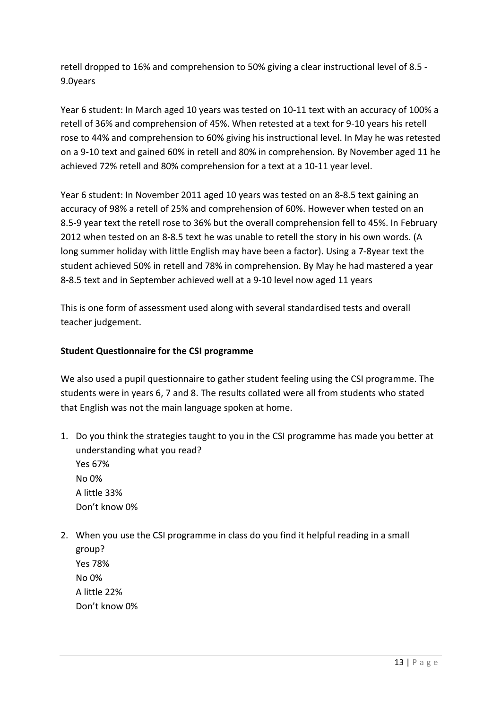retell dropped to 16% and comprehension to 50% giving a clear instructional level of 8.5 -9.0years

Year 6 student: In March aged 10 years was tested on 10-11 text with an accuracy of 100% a retell of 36% and comprehension of 45%. When retested at a text for 9-10 years his retell rose to 44% and comprehension to 60% giving his instructional level. In May he was retested on a 9-10 text and gained 60% in retell and 80% in comprehension. By November aged 11 he achieved 72% retell and 80% comprehension for a text at a 10-11 year level.

Year 6 student: In November 2011 aged 10 years was tested on an 8-8.5 text gaining an accuracy of 98% a retell of 25% and comprehension of 60%. However when tested on an 8.5-9 year text the retell rose to 36% but the overall comprehension fell to 45%. In February 2012 when tested on an 8-8.5 text he was unable to retell the story in his own words. (A long summer holiday with little English may have been a factor). Using a 7-8year text the student achieved 50% in retell and 78% in comprehension. By May he had mastered a year 8-8.5 text and in September achieved well at a 9-10 level now aged 11 years

This is one form of assessment used along with several standardised tests and overall teacher judgement.

#### **Student Questionnaire for the CSI programme**

We also used a pupil questionnaire to gather student feeling using the CSI programme. The students were in years 6, 7 and 8. The results collated were all from students who stated that English was not the main language spoken at home.

- 1. Do you think the strategies taught to you in the CSI programme has made you better at understanding what you read? Yes 67% No 0% A little 33% Don't know 0%
- 2. When you use the CSI programme in class do you find it helpful reading in a small group? Yes 78% No!0% A little 22% Don't know 0%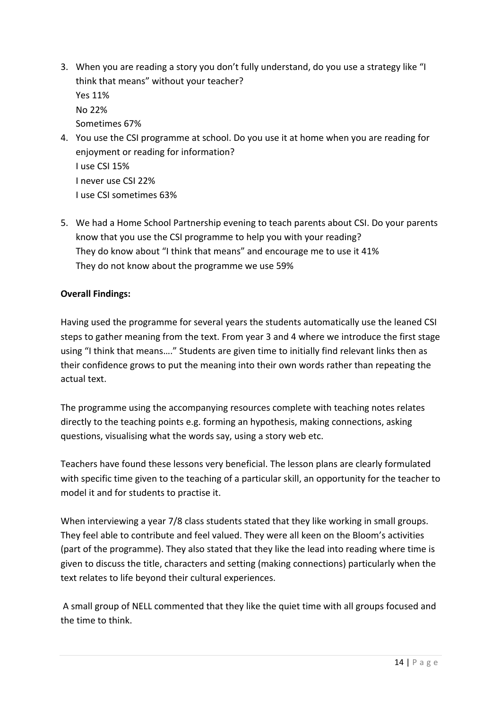- 3. When you are reading a story you don't fully understand, do you use a strategy like "I think that means" without your teacher? Yes 11% No!22% Sometimes 67%
- 4. You use the CSI programme at school. Do you use it at home when you are reading for enjoyment or reading for information? I use CSI 15% I never use CSI 22% I use CSI sometimes 63%
- 5. We had a Home School Partnership evening to teach parents about CSI. Do your parents know that you use the CSI programme to help you with your reading? They do know about "I think that means" and encourage me to use it 41% They do not know about the programme we use 59%

#### **Overall Findings:**

Having used the programme for several years the students automatically use the leaned CSI steps to gather meaning from the text. From year 3 and 4 where we introduce the first stage using "I think that means...." Students are given time to initially find relevant links then as their confidence grows to put the meaning into their own words rather than repeating the actual text.

The programme using the accompanying resources complete with teaching notes relates directly to the teaching points e.g. forming an hypothesis, making connections, asking questions, visualising what the words say, using a story web etc.

Teachers have found these lessons very beneficial. The lesson plans are clearly formulated with specific time given to the teaching of a particular skill, an opportunity for the teacher to model it and for students to practise it.

When interviewing a year 7/8 class students stated that they like working in small groups. They feel able to contribute and feel valued. They were all keen on the Bloom's activities (part of the programme). They also stated that they like the lead into reading where time is given to discuss the title, characters and setting (making connections) particularly when the text relates to life beyond their cultural experiences.

A small group of NELL commented that they like the quiet time with all groups focused and the time to think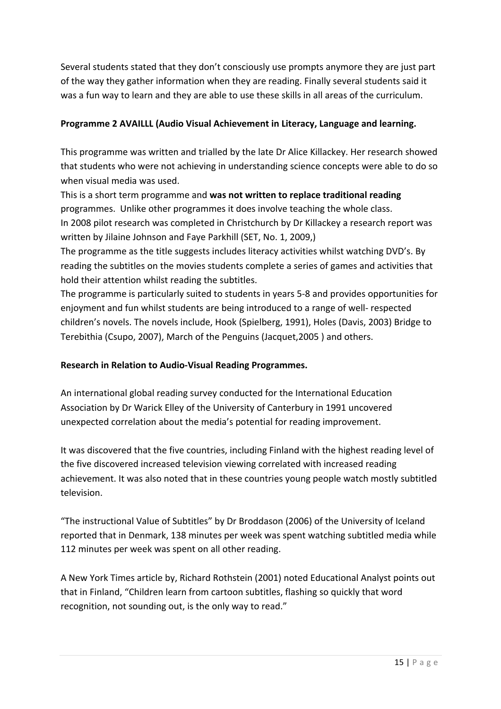Several students stated that they don't consciously use prompts anymore they are just part of the way they gather information when they are reading. Finally several students said it was a fun way to learn and they are able to use these skills in all areas of the curriculum.

#### Programme 2 AVAILLL (Audio Visual Achievement in Literacy, Language and learning.

This programme was written and trialled by the late Dr Alice Killackey. Her research showed that students who were not achieving in understanding science concepts were able to do so when visual media was used.

This is a short term programme and was not written to replace traditional reading programmes. Unlike other programmes it does involve teaching the whole class. In 2008 pilot research was completed in Christchurch by Dr Killackey a research report was written by Jilaine Johnson and Faye Parkhill (SET, No. 1, 2009,)

The programme as the title suggests includes literacy activities whilst watching DVD's. By reading the subtitles on the movies students complete a series of games and activities that hold their attention whilst reading the subtitles.

The programme is particularly suited to students in years 5-8 and provides opportunities for enjoyment and fun whilst students are being introduced to a range of well- respected children's novels. The novels include, Hook (Spielberg, 1991), Holes (Davis, 2003) Bridge to Terebithia (Csupo, 2007), March of the Penguins (Jacquet, 2005) and others.

#### **Research in Relation to Audio-Visual Reading Programmes.**

An international global reading survey conducted for the International Education Association by Dr Warick Elley of the University of Canterbury in 1991 uncovered unexpected correlation about the media's potential for reading improvement.

It was discovered that the five countries, including Finland with the highest reading level of the five discovered increased television viewing correlated with increased reading achievement. It was also noted that in these countries young people watch mostly subtitled television.

"The instructional Value of Subtitles" by Dr Broddason (2006) of the University of Iceland reported that in Denmark, 138 minutes per week was spent watching subtitled media while 112 minutes per week was spent on all other reading.

A New York Times article by, Richard Rothstein (2001) noted Educational Analyst points out that in Finland, "Children learn from cartoon subtitles, flashing so quickly that word recognition, not sounding out, is the only way to read."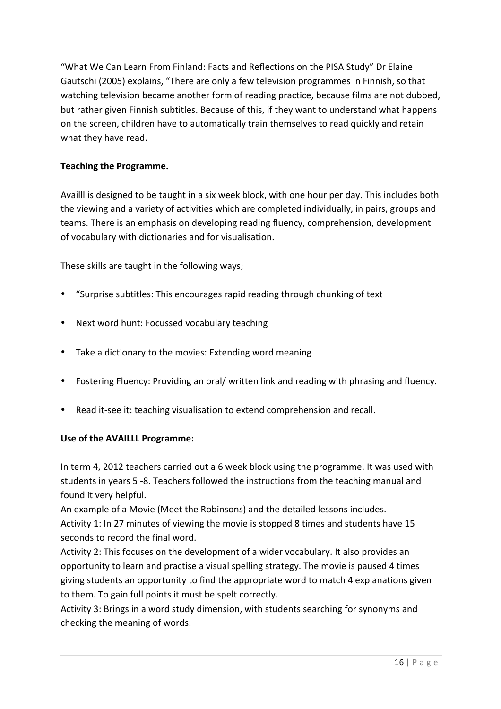"What We Can Learn From Finland: Facts and Reflections on the PISA Study" Dr Elaine Gautschi (2005) explains, "There are only a few television programmes in Finnish, so that watching television became another form of reading practice, because films are not dubbed, but rather given Finnish subtitles. Because of this, if they want to understand what happens on the screen, children have to automatically train themselves to read quickly and retain what they have read.

#### **Teaching the Programme.**

Availll is designed to be taught in a six week block, with one hour per day. This includes both the viewing and a variety of activities which are completed individually, in pairs, groups and teams. There is an emphasis on developing reading fluency, comprehension, development of vocabulary with dictionaries and for visualisation.

These skills are taught in the following ways;

- "Surprise subtitles: This encourages rapid reading through chunking of text
- Next word hunt: Focussed vocabulary teaching
- Take a dictionary to the movies: Extending word meaning
- Fostering Fluency: Providing an oral/ written link and reading with phrasing and fluency.
- Read it-see it: teaching visualisation to extend comprehension and recall.

#### **Use of the AVAILLL Programme:**

In term 4, 2012 teachers carried out a 6 week block using the programme. It was used with students in years 5 -8. Teachers followed the instructions from the teaching manual and found it very helpful.

An example of a Movie (Meet the Robinsons) and the detailed lessons includes. Activity 1: In 27 minutes of viewing the movie is stopped 8 times and students have 15 seconds to record the final word.

Activity 2: This focuses on the development of a wider vocabulary. It also provides an opportunity to learn and practise a visual spelling strategy. The movie is paused 4 times giving students an opportunity to find the appropriate word to match 4 explanations given to them. To gain full points it must be spelt correctly.

Activity 3: Brings in a word study dimension, with students searching for synonyms and checking the meaning of words.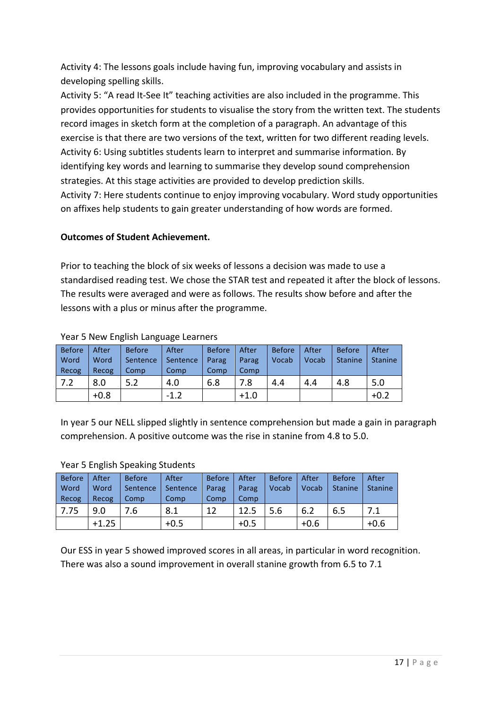Activity 4: The lessons goals include having fun, improving vocabulary and assists in developing spelling skills.

Activity 5: "A read It-See It" teaching activities are also included in the programme. This provides opportunities for students to visualise the story from the written text. The students record images in sketch form at the completion of a paragraph. An advantage of this exercise is that there are two versions of the text, written for two different reading levels. Activity 6: Using subtitles students learn to interpret and summarise information. By identifying key words and learning to summarise they develop sound comprehension strategies. At this stage activities are provided to develop prediction skills. Activity 7: Here students continue to enjoy improving vocabulary. Word study opportunities on affixes help students to gain greater understanding of how words are formed.

#### **Outcomes!of!Student!Achievement.**

Prior to teaching the block of six weeks of lessons a decision was made to use a standardised reading test. We chose the STAR test and repeated it after the block of lessons. The results were averaged and were as follows. The results show before and after the lessons with a plus or minus after the programme.

| <b>Before</b> | After  | <b>Before</b> | After    | <b>Before</b> | After  | <b>Before</b> | After | <b>Before</b>  | After          |
|---------------|--------|---------------|----------|---------------|--------|---------------|-------|----------------|----------------|
| Word          | Word   | Sentence      | Sentence | Parag         | Parag  | Vocab         | Vocab | <b>Stanine</b> | <b>Stanine</b> |
| Recog         | Recog  | Comp          | Comp     | Comp          | Comp   |               |       |                |                |
| 7.2           | 8.0    | 5.2           | 4.0      | 6.8           | 7.8    | 4.4           | 4.4   | 4.8            | 5.0            |
|               | $+0.8$ |               | $-1.2$   |               | $+1.0$ |               |       |                | $+0.2$         |

#### Year 5 New English Language Learners

In year 5 our NELL slipped slightly in sentence comprehension but made a gain in paragraph comprehension. A positive outcome was the rise in stanine from 4.8 to 5.0.

| <b>Before</b><br>Word | <b>After</b><br>Word | <b>Before</b><br>Sentence | After<br>Sentence | <b>Before</b><br>Parag | After<br>Parag | <b>Before</b><br>Vocab | After<br>Vocab | <b>Before</b><br><b>Stanine</b> | After<br><b>Stanine</b> |
|-----------------------|----------------------|---------------------------|-------------------|------------------------|----------------|------------------------|----------------|---------------------------------|-------------------------|
| Recog                 | Recog                | Comp                      | Comp              | Comp                   | Comp           |                        |                |                                 |                         |
| 7.75                  | 9.0                  | 7.6                       | 8.1               | 12                     | 12.5           | 5.6                    | 6.2            | 6.5                             | 7.1                     |
|                       | $+1.25$              |                           | $+0.5$            |                        | $+0.5$         |                        | $+0.6$         |                                 | $+0.6$                  |

#### Year 5 English Speaking Students

Our ESS in year 5 showed improved scores in all areas, in particular in word recognition. There was also a sound improvement in overall stanine growth from 6.5 to 7.1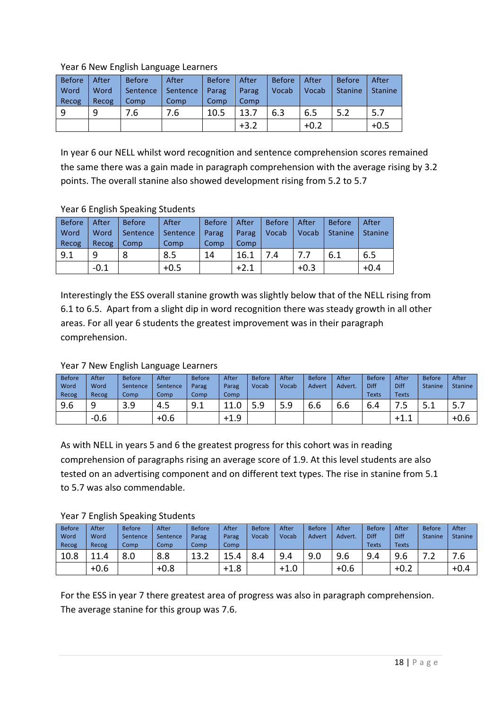#### Year 6 New English Language Learners

| <b>Before</b> | After | <b>Before</b> | After    | <b>Before</b> | After  | <b>Before</b> | After  | <b>Before</b>  | After          |
|---------------|-------|---------------|----------|---------------|--------|---------------|--------|----------------|----------------|
| Word          | Word  | Sentence      | Sentence | Parag         | Parag  | Vocab         | Vocab  | <b>Stanine</b> | <b>Stanine</b> |
| Recog         | Recog | Comp          | Comp     | Comp          | Comp   |               |        |                |                |
| q             | 9     | 7.6           | 7.6      | 10.5          | 13.7   | 6.3           | 6.5    | 5.2            | 5.7            |
|               |       |               |          |               | $+3.2$ |               | $+0.2$ |                | $+0.5$         |

In year 6 our NELL whilst word recognition and sentence comprehension scores remained the same there was a gain made in paragraph comprehension with the average rising by 3.2 points. The overall stanine also showed development rising from 5.2 to 5.7

#### Year 6 English Speaking Students

| <b>Before</b> | After  | <b>Before</b> | After    | <b>Before</b> | After  | <b>Before</b> | After  | <b>Before</b>  | After          |
|---------------|--------|---------------|----------|---------------|--------|---------------|--------|----------------|----------------|
| Word          | Word   | Sentence      | Sentence | Parag         | Parag  | Vocab         | Vocab  | <b>Stanine</b> | <b>Stanine</b> |
| Recog         | Recog  | Comp          | Comp     | Comp          | Comp   |               |        |                |                |
| 9.1           | 9      |               | 8.5      | 14            | 16.1   | 7.4           | 7.7    | 6.1            | 6.5            |
|               | $-0.1$ |               | $+0.5$   |               | $+2.1$ |               | $+0.3$ |                | $+0.4$         |

Interestingly the ESS overall stanine growth was slightly below that of the NELL rising from 6.1 to 6.5. Apart from a slight dip in word recognition there was steady growth in all other areas. For all year 6 students the greatest improvement was in their paragraph comprehension.

#### Year 7 New English Language Learners

| <b>Before</b><br>Word<br>Recog | After<br>Word<br>Recog | <b>Before</b><br>Sentence<br>Comp | After<br>Sentence<br>Comp | <b>Before</b><br>Parag<br>Comp | After<br>Parag<br>Comp | <b>Before</b><br>Vocab | After<br>Vocab | <b>Before</b><br><b>Advert</b> | After<br>Advert.     | <b>Before</b><br>Diff<br><b>Texts</b> | After<br>Diff<br><b>Texts</b> | <b>Before</b><br><b>Stanine</b> | After<br><b>Stanine</b> |
|--------------------------------|------------------------|-----------------------------------|---------------------------|--------------------------------|------------------------|------------------------|----------------|--------------------------------|----------------------|---------------------------------------|-------------------------------|---------------------------------|-------------------------|
| 9.6                            | 9                      | 3.9                               | 4.5                       | 9.1                            | 11                     | ٩                      | 5.9            | $\sim$<br>b.b                  | $\sim$ $\sim$<br>b.b | ╭<br>6.4                              | ر.                            | −<br>5.1                        | ו.כ                     |
|                                | $-0.6$                 |                                   | $+0.6$                    |                                | $+1.9$                 |                        |                |                                |                      |                                       | $+1.1$                        |                                 | $+0.6$                  |

As with NELL in years 5 and 6 the greatest progress for this cohort was in reading comprehension of paragraphs rising an average score of 1.9. At this level students are also tested on an advertising component and on different text types. The rise in stanine from 5.1 to 5.7 was also commendable.

Year 7 English Speaking Students

| <b>Before</b> | After                           | <b>Before</b> | After    | <b>Before</b> | After  | <b>Before</b> | After  | <b>Before</b> | After   | <b>Before</b> | After        | <b>Before</b>  | After          |
|---------------|---------------------------------|---------------|----------|---------------|--------|---------------|--------|---------------|---------|---------------|--------------|----------------|----------------|
| Word          | Word                            | Sentence      | Sentence | Parag         | Parag  | Vocab         | Vocab  | Advert        | Advert. | Diff          | Diff         | <b>Stanine</b> | <b>Stanine</b> |
| Recog         | Recog                           | Comp          | Comp     | Comp          | Comp   |               |        |               |         | <b>Texts</b>  | <b>Texts</b> |                |                |
| 10.8          | $\overline{\phantom{a}}$<br>1.4 | 8.0           | 8.8      | ⊥J.∠          | Δ      | 8.4           | 9.4    | 9.0           | 9.6     | 9.4           | 9.6          | . <u>. .</u>   | '.6            |
|               | $+0.6$                          |               | $+0.8$   |               | $+1.8$ |               | $+1.0$ |               | $+0.6$  |               | $+0.2$       |                | $+0.4$         |

For the ESS in year 7 there greatest area of progress was also in paragraph comprehension. The average stanine for this group was 7.6.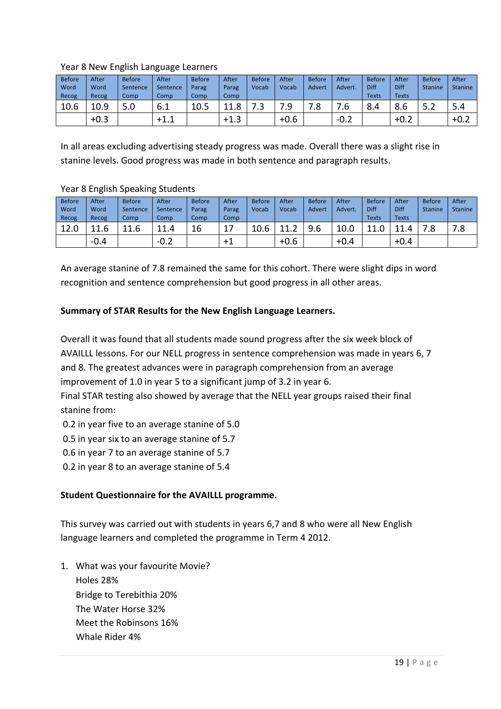#### Year 8 New English Language Learners

| <b>Before</b> | After  | <b>Before</b> | After    | <b>Before</b> | After                  | <b>Before</b> | After  | <b>Before</b> | After   | <b>Before</b> | After          | <b>Before</b>  | After          |
|---------------|--------|---------------|----------|---------------|------------------------|---------------|--------|---------------|---------|---------------|----------------|----------------|----------------|
| Word          | Word   | Sentence      | Sentence | Parag         | Parag                  | Vocab         | Vocab  | Advert        | Advert. | Diff          | Diff           | <b>Stanine</b> | <b>Stanine</b> |
| Recog         | Recog  | Comp          | Comp     | Comp          | Comp                   |               |        |               |         | <b>Texts</b>  | <b>Texts</b>   |                |                |
| 10.6          | 10.9   | 5.0           | b.1      | 10.5          | 11.8                   | 3.            | . .    | 7.8           |         | 8.4           | $\circ$<br>8.b | ے.ر            | 5.4            |
|               | $+0.3$ |               | $+1.1$   |               | ◠<br>$+1.\overline{3}$ |               | $+0.6$ |               | $-0.2$  |               | $+0.2$         |                | $+0.4$         |

In all areas excluding advertising steady progress was made. Overall there was a slight rise in stanine levels. Good progress was made in both sentence and paragraph results.

#### Year 8 English Speaking Students

| <b>Before</b><br>Word | After<br>Word | <b>Before</b><br>Sentence | After<br>Sentence | <b>Before</b><br>Parag | After<br>Parag | <b>Before</b><br>Vocab | After<br>Vocab | <b>Before</b><br>Advert | After<br>Advert. | <b>Before</b><br>Diff | After<br>Diff | Before<br><b>Stanine</b> | After<br><b>Stanine</b> |
|-----------------------|---------------|---------------------------|-------------------|------------------------|----------------|------------------------|----------------|-------------------------|------------------|-----------------------|---------------|--------------------------|-------------------------|
| Recog                 | Recog         | Comp                      | Comp              | Comp                   | Comp           |                        |                |                         |                  | <b>Texts</b>          | <b>Texts</b>  |                          |                         |
| 12.0                  | 11.6          | 11.6                      | 11.4              | 16                     | 4              | 10.6                   | 44             | 9.6                     | 10.0             | $\overline{A}$<br>ᆂᆂᇵ | 11 $\Lambda$  | ס ד<br>ه.                | 7.8                     |
|                       | $-0.4$        |                           | $-0.2$            |                        | $+1$           |                        | $+0.6$         |                         | $+0.4$           |                       | $+0.4$        |                          |                         |

An average stanine of 7.8 remained the same for this cohort. There were slight dips in word recognition and sentence comprehension but good progress in all other areas.

#### **Summary of STAR Results for the New English Language Learners.**

Overall it was found that all students made sound progress after the six week block of AVAILLL lessons. For our NELL progress in sentence comprehension was made in years 6, 7 and 8. The greatest advances were in paragraph comprehension from an average improvement of 1.0 in year 5 to a significant jump of 3.2 in year 6.

Final STAR testing also showed by average that the NELL year groups raised their final stanine from:

0.2 in year five to an average stanine of 5.0

0.5 in year six to an average stanine of 5.7

0.6 in year 7 to an average stanine of 5.7

0.2 in year 8 to an average stanine of 5.4

#### **Student Questionnaire for the AVAILLL programme.**

This survey was carried out with students in years 6,7 and 8 who were all New English language learners and completed the programme in Term 4 2012.

1. What was your favourite Movie? Holes 28% Bridge to Terebithia 20% The Water Horse 32% Meet the Robinsons 16% Whale Rider 4%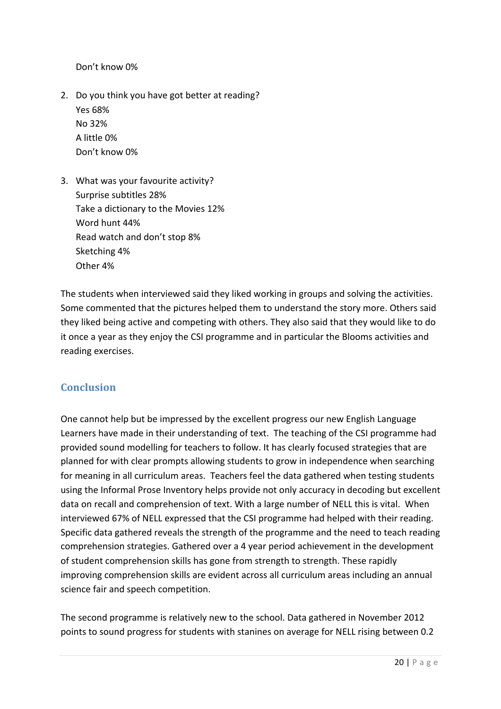Don't know 0%

- 2. Do you think you have got better at reading? Yes 68% No 32% A little 0% Don't know 0%
- 3. What was your favourite activity? Surprise subtitles 28% Take a dictionary to the Movies 12% Word hunt 44% Read watch and don't stop 8% Sketching 4% Other 4%

The students when interviewed said they liked working in groups and solving the activities. Some commented that the pictures helped them to understand the story more. Others said they liked being active and competing with others. They also said that they would like to do it once a year as they enjoy the CSI programme and in particular the Blooms activities and reading exercises.

#### **Conclusion**

One cannot help but be impressed by the excellent progress our new English Language Learners have made in their understanding of text. The teaching of the CSI programme had provided sound modelling for teachers to follow. It has clearly focused strategies that are planned for with clear prompts allowing students to grow in independence when searching for meaning in all curriculum areas. Teachers feel the data gathered when testing students using the Informal Prose Inventory helps provide not only accuracy in decoding but excellent data on recall and comprehension of text. With a large number of NELL this is vital. When interviewed 67% of NELL expressed that the CSI programme had helped with their reading. Specific data gathered reveals the strength of the programme and the need to teach reading comprehension strategies. Gathered over a 4 year period achievement in the development of student comprehension skills has gone from strength to strength. These rapidly improving comprehension skills are evident across all curriculum areas including an annual science fair and speech competition.

The second programme is relatively new to the school. Data gathered in November 2012 points to sound progress for students with stanines on average for NELL rising between 0.2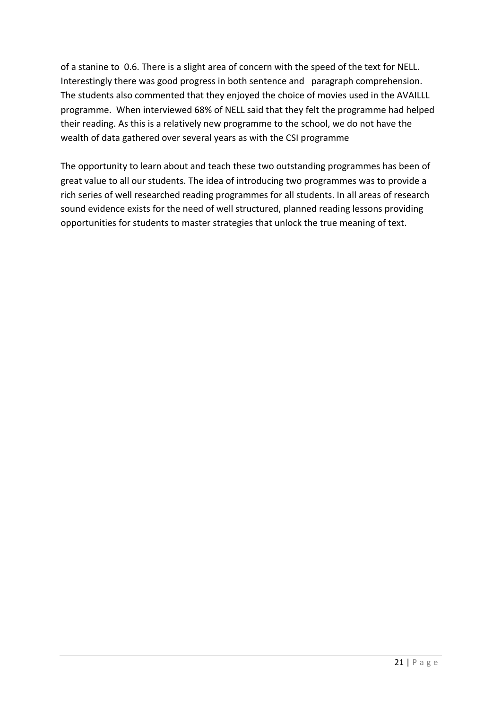of a stanine to 0.6. There is a slight area of concern with the speed of the text for NELL. Interestingly there was good progress in both sentence and paragraph comprehension. The students also commented that they enjoyed the choice of movies used in the AVAILLL programme. When interviewed 68% of NELL said that they felt the programme had helped their reading. As this is a relatively new programme to the school, we do not have the wealth of data gathered over several years as with the CSI programme

The opportunity to learn about and teach these two outstanding programmes has been of great value to all our students. The idea of introducing two programmes was to provide a rich series of well researched reading programmes for all students. In all areas of research sound evidence exists for the need of well structured, planned reading lessons providing opportunities for students to master strategies that unlock the true meaning of text.